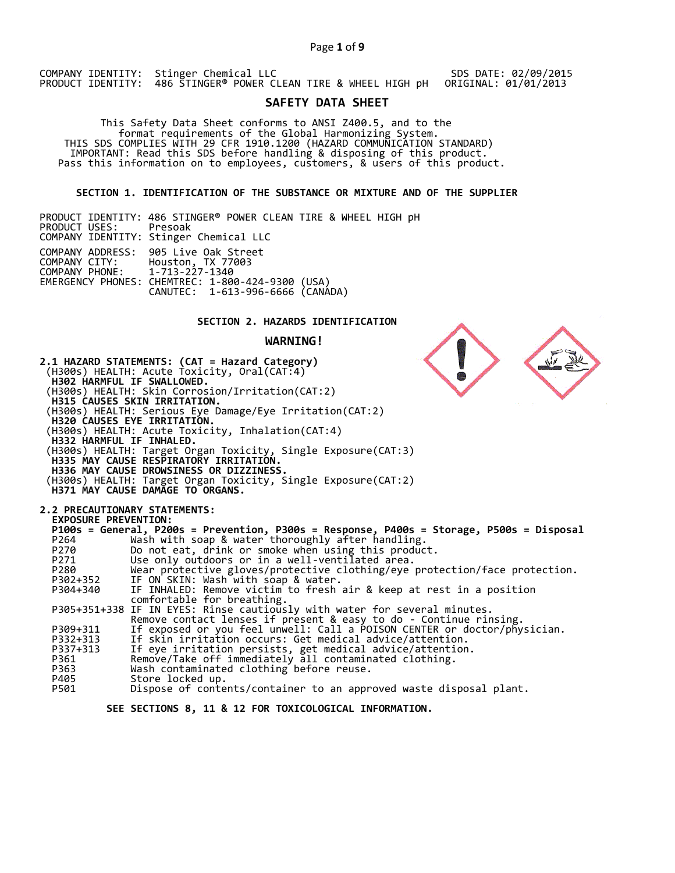## Page **1** of **9**

COMPANY IDENTITY: Stinger Chemical LLC PRODUCT IDENTITY: 486 STINGER® POWER CLEAN TIRE & WHEEL HIGH pH

#### SDS DATE: 02/09/2015 ORIGINAL: 01/01/2013

# **SAFETY DATA SHEET**

 This Safety Data Sheet conforms to ANSI Z400.5, and to the format requirements of the Global Harmonizing System. THIS SDS COMPLIES WITH 29 CFR 1910.1200 (HAZARD COMMUNICATION STANDARD) IMPORTANT: Read this SDS before handling & disposing of this product. Pass this information on to employees, customers, & users of this product.

**SECTION 1. IDENTIFICATION OF THE SUBSTANCE OR MIXTURE AND OF THE SUPPLIER** 

PRODUCT IDENTITY: 486 STINGER® POWER CLEAN TIRE & WHEEL HIGH pH PRODUCT USES: COMPANY IDENTITY: Stinger Chemical LLC COMPANY ADDRESS: 905 Live Oak Street COMPANY CITY: Houston, TX 77003 COMPANY PHONE: 1-713-227-1340 EMERGENCY PHONES: CHEMTREC: 1-800-424-9300 (USA) CANUTEC: 1-613-996-6666 (CANADA)

# **SECTION 2. HAZARDS IDENTIFICATION**

#### **WARNING!**



Dispose of contents/container to an approved waste disposal plant.

 **SEE SECTIONS 8, 11 & 12 FOR TOXICOLOGICAL INFORMATION.**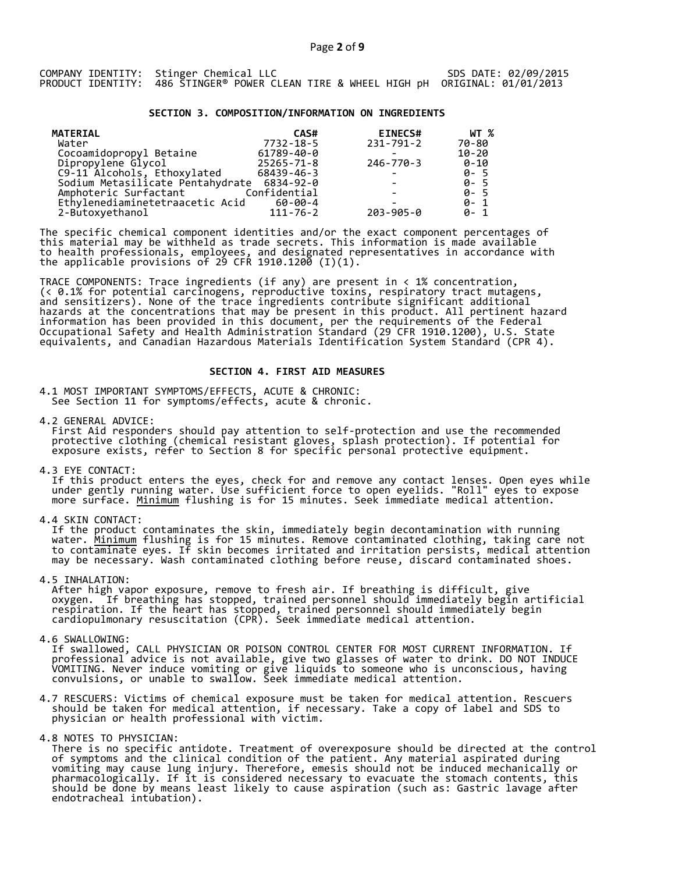#### **SECTION 3. COMPOSITION/INFORMATION ON INGREDIENTS**

| <b>MATERIAL</b>                  | CAS#           | <b>EINECS#</b>  | WT %      |
|----------------------------------|----------------|-----------------|-----------|
| Water                            | 7732-18-5      | 231-791-2       | 70-80     |
| Cocoamidopropyl Betaine          | 61789-40-0     |                 | $10 - 20$ |
| Dipropylene Glycol               | 25265-71-8     | 246-770-3       | 0-10      |
| C9-11 Alcohols, Ethoxylated      | 68439-46-3     |                 | $0 - 5$   |
| Sodium Metasilicate Pentahydrate | 6834-92-0      |                 | $0 - 5$   |
| Amphoteric Surfactant            | Confidential   |                 | $0 - 5$   |
| Ethylenediaminetetraacetic Acid  | 60-00-4        |                 | $0 - 1$   |
| 2-Butoxyethanol                  | $111 - 76 - 2$ | $203 - 905 - 0$ | $0 - 1$   |

The specific chemical component identities and/or the exact component percentages of this material may be withheld as trade secrets. This information is made available to health professionals, employees, and designated representatives in accordance with the applicable provisions of 29 CFR 1910.1200̄ (I)(1).  $\overline{\phantom{a}}$ 

TRACE COMPONENTS: Trace ingredients (if any) are present in < 1% concentration, (< 0.1% for potential carcinogens, reproductive toxins, respiratory tract mutagens, and sensitizers). None of the trace ingredients contribute significant additional hazards at the concentrations that may be present in this product. All pertinent hazard information has been provided in this document, per the requirements of the Federal Occupational Safety and Health Administration Standard (29 CFR 1910.1200), U.S. State equivalents, and Canadian Hazardous Materials Identification System Standard (CPR 4).

## **SECTION 4. FIRST AID MEASURES**

4.1 MOST IMPORTANT SYMPTOMS/EFFECTS, ACUTE & CHRONIC: See Section 11 for symptoms/effects, acute & chronic.

4.2 GENERAL ADVICE: First Aid responders should pay attention to self-protection and use the recommended protective clothing (chemical resistant gloves, splash protection). If potential for exposure exists, refer to Section 8 for specific personal protective equipment.

4.3 EYE CONTACT:

 If this product enters the eyes, check for and remove any contact lenses. Open eyes while under gently running water. Use sufficient force to open eyelids. "Roll" eyes to expose more surface. <u>Minimum</u> flushing is for 15 minutes. Seek immediate medical attention.

4.4 SKIN CONTACT:

 If the product contaminates the skin, immediately begin decontamination with running water. <u>Minimum</u> flushing is for 15 minutes. Remove contaminated clothing, taking care not to contaminate eyes. If skin becomes irritated and irritation persists, medical attention may be necessary. Wash contaminated clothing before reuse, discard contaminated shoes.

4.5 INHALATION:

 After high vapor exposure, remove to fresh air. If breathing is difficult, give oxygen. If breathing has stopped, trained personnel should immediately begin artificial respiration. If the heart has stopped, trained personnel should immediately begin cardiopulmonary resuscitation (CPR). Seek immediate medical attention.

4.6 SWALLOWING:

 If swallowed, CALL PHYSICIAN OR POISON CONTROL CENTER FOR MOST CURRENT INFORMATION. If professional advice is not available, give two glasses of water to drink. DO NOT INDUCE VOMITING. Never induce vomiting or give liquids to someone who is unconscious, having convulsions, or unable to swallow. Seek immediate medical attention.

4.7 RESCUERS: Victims of chemical exposure must be taken for medical attention. Rescuers should be taken for medical attention, if necessary. Take a copy of label and SDS to physician or health professional with victim.

4.8 NOTES TO PHYSICIAN:

 There is no specific antidote. Treatment of overexposure should be directed at the control of symptoms and the clinical condition of the patient. Any material aspirated during vomiting may cause lung injury. Therefore, emesis should not be induced mechanically or pharmacologically. If it is considered necessary to evacuate the stomach contents, this should be done by means least likely to cause aspiration (such as: Gastric lavage after endotracheal intubation).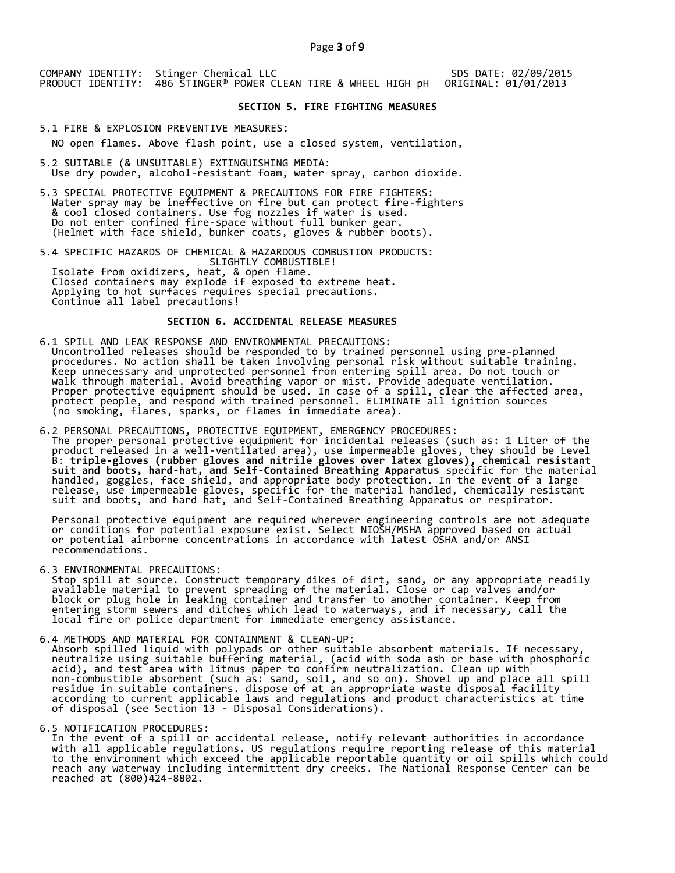COMPANY IDENTITY: Stinger Chemical LLC PRODUCT IDENTITY: 486 STINGER® POWER CLEAN TIRE & WHEEL HIGH pH

 SDS DATE: 02/09/2015 ORIGINAL: 01/01/2013

## **SECTION 5. FIRE FIGHTING MEASURES**

5.1 FIRE & EXPLOSION PREVENTIVE MEASURES:

NO open flames. Above flash point, use a closed system, ventilation,

- 5.2 SUITABLE (& UNSUITABLE) EXTINGUISHING MEDIA: Use dry powder, alcohol-resistant foam, water spray, carbon dioxide.
- 5.3 SPECIAL PROTECTIVE EQUIPMENT & PRECAUTIONS FOR FIRE FIGHTERS: Water spray may be ineffective on fire but can protect fire-fighters & cool closed containers. Use fog nozzles if water is used. Do not enter confined fire-space without full bunker gear. (Helmet with face shield, bunker coats, gloves & rubber boots).

5.4 SPECIFIC HAZARDS OF CHEMICAL & HAZARDOUS COMBUSTION PRODUCTS: SLIGHTLY COMBUSTIBLE! Isolate from oxidizers, heat, & open flame. Closed containers may explode if exposed to extreme heat. Applying to hot surfaces requires special precautions. Continue all label precautions!

## **SECTION 6. ACCIDENTAL RELEASE MEASURES**

- 6.1 SPILL AND LEAK RESPONSE AND ENVIRONMENTAL PRECAUTIONS: Uncontrolled releases should be responded to by trained personnel using pre-planned procedures. No action shall be taken involving personal risk without suitable training. Keep unnecessary and unprotected personnel from entering spill area. Do not touch or walk through material. Avoid breathing vapor or mist. Provide adequate ventilation. Proper protective equipment should be used. In case of a spill, clear the affected area, protect people, and respond with trained personnel. ELIMINATE all ignition sources (no smoking, flares, sparks, or flames in immediate area).
- 6.2 PERSONAL PRECAUTIONS, PROTECTIVE EQUIPMENT, EMERGENCY PROCEDURES: The proper personal protective equipment for incidental releases (such as: 1 Liter of the product released in a well-ventilated area), use impermeable gloves, they should be Level B: **triple-gloves (rubber gloves and nitrile gloves over latex gloves), chemical resistant suit and boots, hard-hat, and Self-Contained Breathing Apparatus** specific for the material handled, goggles, face shield, and appropriate body protection. In the event of a large release, use impermeable gloves, specific for the material handled, chemically resistant suit and boots, and hard hat, and Self-Contained Breathing Apparatus or respirator.

 Personal protective equipment are required wherever engineering controls are not adequate or conditions for potential exposure exist. Select NIOSH/MSHA approved based on actual or potential airborne concentrations in accordance with latest OSHA and/or ANSI recommendations.

6.3 ENVIRONMENTAL PRECAUTIONS:

 Stop spill at source. Construct temporary dikes of dirt, sand, or any appropriate readily available material to prevent spreading of the material. Close or cap valves and/or block or plug hole in leaking container and transfer to another container. Keep from entering storm sewers and ditches which lead to waterways, and if necessary, call the local fire or police department for immediate emergency assistance.

6.4 METHODS AND MATERIAL FOR CONTAINMENT & CLEAN-UP: Absorb spilled liquid with polypads or other suitable absorbent materials. If necessary, neutralize using suitable buffering material, (acid with soda ash or base with phosphoric acid), and test area with litmus paper to confirm neutralization. Clean up with non-combustible absorbent (such as: sand, soil, and so on). Shovel up and place all spill residue in suitable containers. dispose of at an appropriate waste disposal facility according to current applicable laws and regulations and product characteristics at time of disposal (see Section 13 - Disposal Considerations).

6.5 NOTIFICATION PROCEDURES:

 In the event of a spill or accidental release, notify relevant authorities in accordance with all applicable regulations. US regulations require reporting release of this material to the environment which exceed the applicable reportable quantity or oil spills which could reach any waterway including intermittent dry creeks. The National Response Center can be reached at (800)424-8802.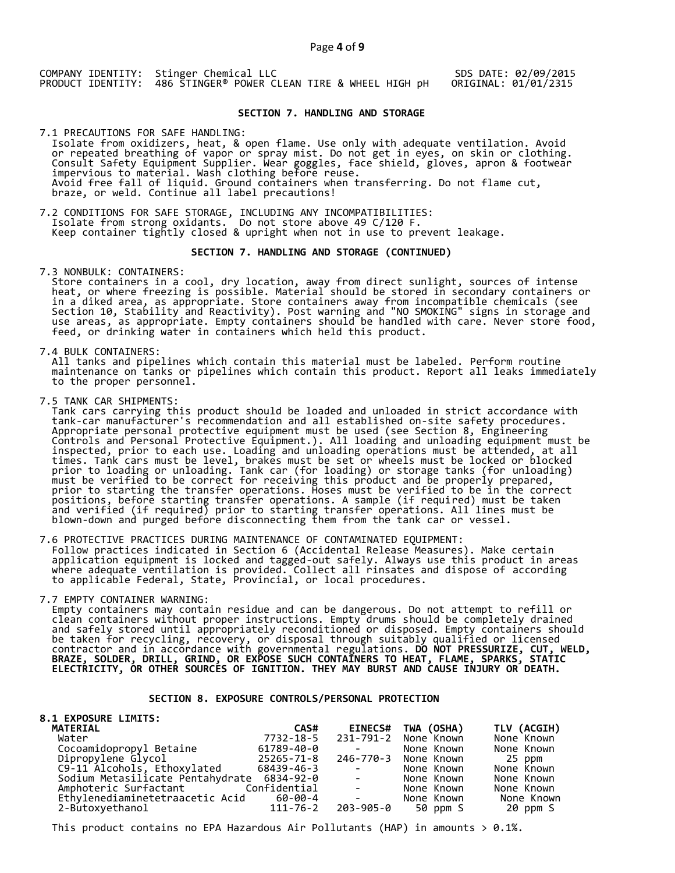COMPANY IDENTITY: Stinger Chemical LLC PRODUCT IDENTITY: 486 STINGER® POWER CLEAN TIRE & WHEEL HIGH pH

SDS DATE: 02/09/2015 ORIGINAL: 01/01/2315

# **SECTION 7. HANDLING AND STORAGE**

7.1 PRECAUTIONS FOR SAFE HANDLING: Isolate from oxidizers, heat, & open flame. Use only with adequate ventilation. Avoid or repeated breathing of vapor or spray mist. Do not get in eyes, on skin or clothing. Consult Safety Equipment Supplier. Wear goggles, face shield, gloves, apron & footwear impervious to material. Wash clothing before reuse. Avoid free fall of liquid. Ground containers when transferring. Do not flame cut, braze, or weld. Continue all label precautions!

7.2 CONDITIONS FOR SAFE STORAGE, INCLUDING ANY INCOMPATIBILITIES:<br>Isolate from strong oxidants. Do not store above 49 C/120 F. Isolate from strong oxidants. Do not store above 49 C/120 F. Keep container tightly closed & upright when not in use to prevent leakage.

# **SECTION 7. HANDLING AND STORAGE (CONTINUED)**

7.3 NONBULK: CONTAINERS:

 Store containers in a cool, dry location, away from direct sunlight, sources of intense heat, or where freezing is possible. Material should be stored in secondary containers or in a diked area, as appropriate. Store containers away from incompatible chemicals (see Section 10, Stability and Reactivity). Post warning and "NO SMOKING" signs in storage and use areas, as appropriate. Empty containers should be handled with care. Never store food, feed, or drinking water in containers which held this product.

7.4 BULK CONTAINERS:

 All tanks and pipelines which contain this material must be labeled. Perform routine maintenance on tanks or pipelines which contain this product. Report all leaks immediately to the proper personnel.

7.5 TANK CAR SHIPMENTS:

 Tank cars carrying this product should be loaded and unloaded in strict accordance with tank-car manufacturer's recommendation and all established on-site safety procedures. Appropriate personal protective equipment must be used (see Section 8, Engineering Controls and Personal Protective Equipment.). All loading and unloading equipment must be inspected, prior to each use. Loading and unloading operations must be attended, at all times. Tank cars must be level, brakes must be set or wheels must be locked or blocked prior to loading or unloading. Tank car (for loading) or storage tanks (for unloading) must be verified to be correct for receiving this product and be properly prepared, prior to starting the transfer operations. Hoses must be verified to be in the correct positions, before starting transfer operations. A sample (if required) must be taken and verified (if required) prior to starting transfer operations. All lines must be blown-down and purged before disconnecting them from the tank car or vessel.

7.6 PROTECTIVE PRACTICES DURING MAINTENANCE OF CONTAMINATED EQUIPMENT: Follow practices indicated in Section 6 (Accidental Release Measures). Make certain application equipment is locked and tagged-out safely. Always use this product in areas where adequate ventilation is provided. Collect all rinsates and dispose of according to applicable Federal, State, Provincial, or local procedures.

7.7 EMPTY CONTAINER WARNING:

 Empty containers may contain residue and can be dangerous. Do not attempt to refill or clean containers without proper instructions. Empty drums should be completely drained and safely stored until appropriately reconditioned or disposed. Empty containers should be taken for recycling, recovery, or disposal through suitably qualified or licensed contractor and in accordance with governmental regulations. **DO NOT PRESSURIZE, CUT, WELD, BRAZE, SOLDER, DRILL, GRIND, OR EXPOSE SUCH CONTAINERS TO HEAT, FLAME, SPARKS, STATIC ELECTRICITY, OR OTHER SOURCES OF IGNITION. THEY MAY BURST AND CAUSE INJURY OR DEATH.**

# **SECTION 8. EXPOSURE CONTROLS/PERSONAL PROTECTION**

| TWA (OSHA)<br><b>EINECS#</b><br>CAS#                                                                                                                     | TLV (ACGIH) |
|----------------------------------------------------------------------------------------------------------------------------------------------------------|-------------|
| 231-791-2 None Known<br>7732-18-5<br>None Known                                                                                                          |             |
| 61789-40-0<br>None Known<br>None Known                                                                                                                   |             |
| 246-770-3 None Known<br>25265-71-8<br>25 ppm                                                                                                             |             |
| 68439-46-3<br>None Known<br>None Known<br>and the state of the state                                                                                     |             |
| None Known<br>$\Delta \sim 10^{-10}$ km s $^{-1}$<br>None Known                                                                                          |             |
| None Known<br>None Known                                                                                                                                 |             |
| and the state of the<br>60-00-4<br>None Known                                                                                                            | None Known  |
| 203-905-0<br>111-76-2<br>50 ppm S                                                                                                                        | 20 ppm S    |
| Sodium Metasilicate Pentahydrate 6834-92-0<br>Confidential<br>$\mathcal{L}_{\text{max}}$ and $\mathcal{L}_{\text{max}}$ . The $\mathcal{L}_{\text{max}}$ |             |

This product contains no EPA Hazardous Air Pollutants (HAP) in amounts  $> 0.1\%$ .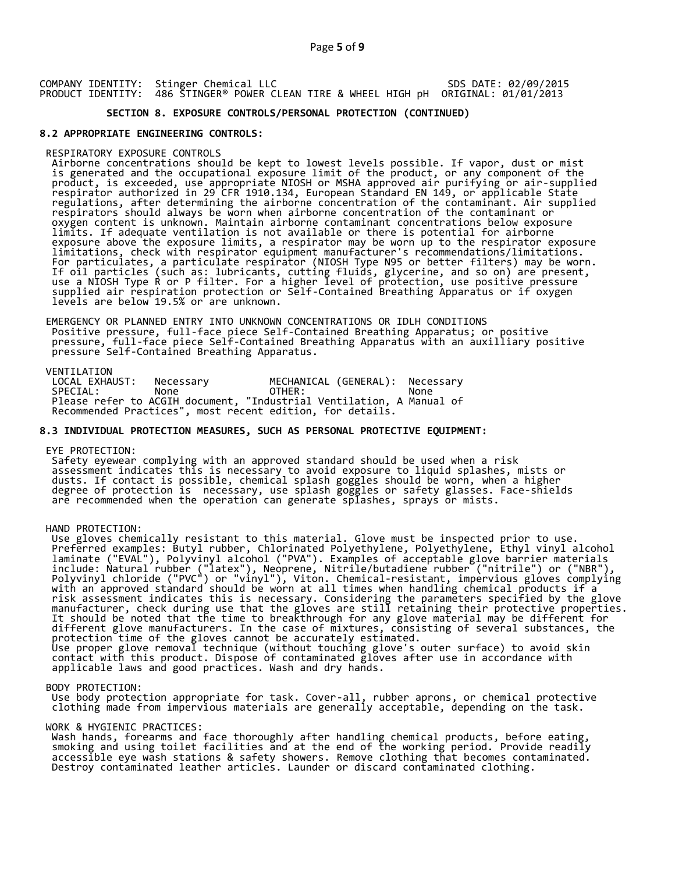COMPANY IDENTITY: Stinger Chemical LLC PRODUCT IDENTITY: 486 STINGER® POWER CLEAN TIRE & WHEEL HIGH pH SDS DATE: 02/09/2015 ORIGINAL: 01/01/2013

## **SECTION 8. EXPOSURE CONTROLS/PERSONAL PROTECTION (CONTINUED)**

#### **8.2 APPROPRIATE ENGINEERING CONTROLS:**

#### RESPIRATORY EXPOSURE CONTROLS

 Airborne concentrations should be kept to lowest levels possible. If vapor, dust or mist is generated and the occupational exposure limit of the product, or any component of the product, is exceeded, use appropriate NIOSH or MSHA approved air purifying or air-supplied respirator authorized in 29 CFR 1910.134, European Standard EN 149, or applicable State regulations, after determining the airborne concentration of the contaminant. Air supplied respirators should always be worn when airborne concentration of the contaminant or oxygen content is unknown. Maintain airborne contaminant concentrations below exposure limits. If adequate ventilation is not available or there is potential for airborne exposure above the exposure limits, a respirator may be worn up to the respirator exposure limitations, check with respirator equipment manufacturer's recommendations/limitations. For particulates, a particulate respirator (NIOSH Type N95 or better filters) may be worn. If oil particles (such as: lubricants, cutting fluids, glycerine, and so on) are present, use a NIOSH Type R or P filter. For a higher level of protection, use positive pressure supplied air respiration protection or Self-Contained Breathing Apparatus or if oxygen levels are below 19.5% or are unknown.

 EMERGENCY OR PLANNED ENTRY INTO UNKNOWN CONCENTRATIONS OR IDLH CONDITIONS Positive pressure, full-face piece Self-Contained Breathing Apparatus; or positive pressure, full-face piece Self-Contained Breathing Apparatus with an auxilliary positive pressure Self-Contained Breathing Apparatus.

VENTILATION<br>LOCAL EXHAUST: LOCAL EXHAUST: Necessary MECHANICAL (GENERAL): Necessary SPECIAL: None OTHER: None Please refer to ACGIH document, "Industrial Ventilation, A Manual of Recommended Practices", most recent edition, for details.

## **8.3 INDIVIDUAL PROTECTION MEASURES, SUCH AS PERSONAL PROTECTIVE EQUIPMENT:**

#### EYE PROTECTION:

 Safety eyewear complying with an approved standard should be used when a risk assessment indicates this is necessary to avoid exposure to liquid splashes, mists or dusts. If contact is possible, chemical splash goggles should be worn, when a higher degree of protection is necessary, use splash goggles or safety glasses. Face-shields are recommended when the operation can generate splashes, sprays or mists.

#### HAND PROTECTION:

 Use gloves chemically resistant to this material. Glove must be inspected prior to use. Preferred examples: Butyl rubber, Chlorinated Polyethylene, Polyethylene, Ethyl vinyl alcohol laminate ("EVAL"), Polyvinyl alcohol ("PVA"). Examples of acceptable glove barrier materials include: Natural rubber ("latex"), Neoprene, Nitrile/butadiene rubber ("nitrile") or ("NBR"), Polyvinyl chloride ("PVC") or "vinyl"), Viton. Chemical-resistant, impervious gloves complying with an approved standard should be worn at all times when handling chemical products if a risk assessment indicates this is necessary. Considering the parameters specified by the glove manufacturer, check during use that the gloves are still retaining their protective properties. It should be noted that the time to breakthrough for any glove material may be different for different glove manufacturers. In the case of mixtures, consisting of several substances, the protection time of the gloves cannot be accurately estimated. Use proper glove removal technique (without touching glove's outer surface) to avoid skin contact with this product. Dispose of contaminated gloves after use in accordance with applicable laws and good practices. Wash and dry hands.

#### BODY PROTECTION:

 Use body protection appropriate for task. Cover-all, rubber aprons, or chemical protective clothing made from impervious materials are generally acceptable, depending on the task.

#### WORK & HYGIENIC PRACTICES:

 Wash hands, forearms and face thoroughly after handling chemical products, before eating, smoking and using toilet facilities and at the end of the working period. Provide readily accessible eye wash stations & safety showers. Remove clothing that becomes contaminated. Destroy contaminated leather articles. Launder or discard contaminated clothing.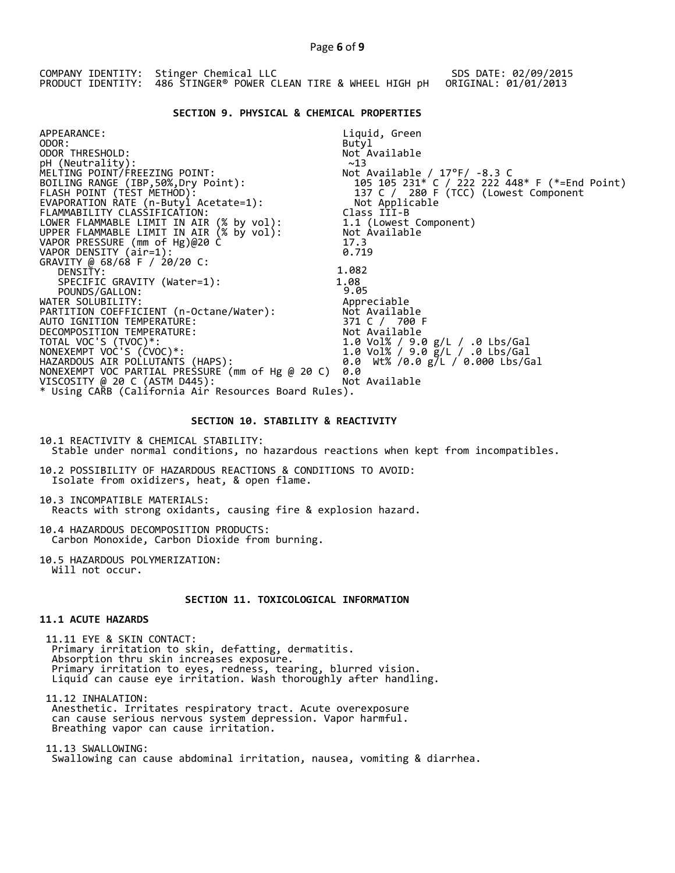COMPANY IDENTITY: Stinger Chemical LLC PRODUCT IDENTITY: 486 STINGER® POWER CLEAN TIRE & WHEEL HIGH pH SDS DATE: 02/09/2015 ORIGINAL: 01/01/2013

## **SECTION 9. PHYSICAL & CHEMICAL PROPERTIES**

APPEARANCE: ODOR: ODOR THRESHOLD: pH (Neutrality): MELTING POINT/FREEZING POINT: BOILING RANGE (IBP,50%,Dry Point): FLASH POINT (TEST METHOD): EVAPORATION RATE (n-Butyl Acetate=1): FLAMMABILITY CLASSIFICATION: LOWER FLAMMABLE LIMIT IN AIR (% by vol): UPPER FLAMMABLE LIMIT IN AIR (% by vol): Liquid, Green Butyl Not Available  $~13$ Not Available / 17°F/ -8.3 C 105 105 231\* C / 222 222 448\* F (\*=End Point) 137 C / 280 F (TCC) (Lowest Component Not Applicable Class III-B 1.1 (Lowest Component) Not Available VAPOR PRESSURE (mm of Hg)@20 C 17.3  $V$ APOR DENSITY  $air=1$ :  $0.719$ GRAVITY @ 68/68 F / 20/20 C: DENSITY: 1.082<br>
SPECIFIC GRAVITY (Water=1): 1.08<br>
POUNDS/GALLON: 9.05 SPECIFIC GRAVITY (Water=1): POUNDS/GALLON:  $\overline{9.05}$ <br>WATER SOLUBILITY:  $\overline{9.05}$ WATER SOLUBILITY: Appreciable PARTITION COEFFICIENT (n-Octane/Water): Not Available AUTO IGNITION TEMPERATURE: 371 C / 700 F DECOMPOSITION TEMPERATURE: Not Available TOTAL VOC'S (TVOC)\*: 1.0 Vol% / 9.0 g/L / .0 Lbs/Gal NONEXEMPT VOC'S (CVOC)\*: 1.0 Vol% / 9.0 g/L / .0 Lbs/Gal HAZARDOUS AIR POLLUTANTS (HAPS): 0.0 Wt% /0.0 g/L / 0.000 Lbs/Gal NONEXEMPT VOC PARTIAL PRESSURE (mm of Hg @ 20 C) 0.0 VISCOSITY @ 20 C (ASTM D445): Not Available \* Using CARB (California Air Resources Board Rules).

## **SECTION 10. STABILITY & REACTIVITY**

10.1 REACTIVITY & CHEMICAL STABILITY: Stable under normal conditions, no hazardous reactions when kept from incompatibles.

10.2 POSSIBILITY OF HAZARDOUS REACTIONS & CONDITIONS TO AVOID: Isolate from oxidizers, heat, & open flame.

10.3 INCOMPATIBLE MATERIALS: Reacts with strong oxidants, causing fire & explosion hazard.

10.4 HAZARDOUS DECOMPOSITION PRODUCTS: Carbon Monoxide, Carbon Dioxide from burning.

10.5 HAZARDOUS POLYMERIZATION: Will not occur.

# **SECTION 11. TOXICOLOGICAL INFORMATION**

# **11.1 ACUTE HAZARDS**

 11.11 EYE & SKIN CONTACT: Primary irritation to skin, defatting, dermatitis. Absorption thru skin increases exposure. Primary irritation to eyes, redness, tearing, blurred vision. Liquid can cause eye irritation. Wash thoroughly after handling.

 11.12 INHALATION: Anesthetic. Irritates respiratory tract. Acute overexposure can cause serious nervous system depression. Vapor harmful. Breathing vapor can cause irritation.

 11.13 SWALLOWING: Swallowing can cause abdominal irritation, nausea, vomiting & diarrhea.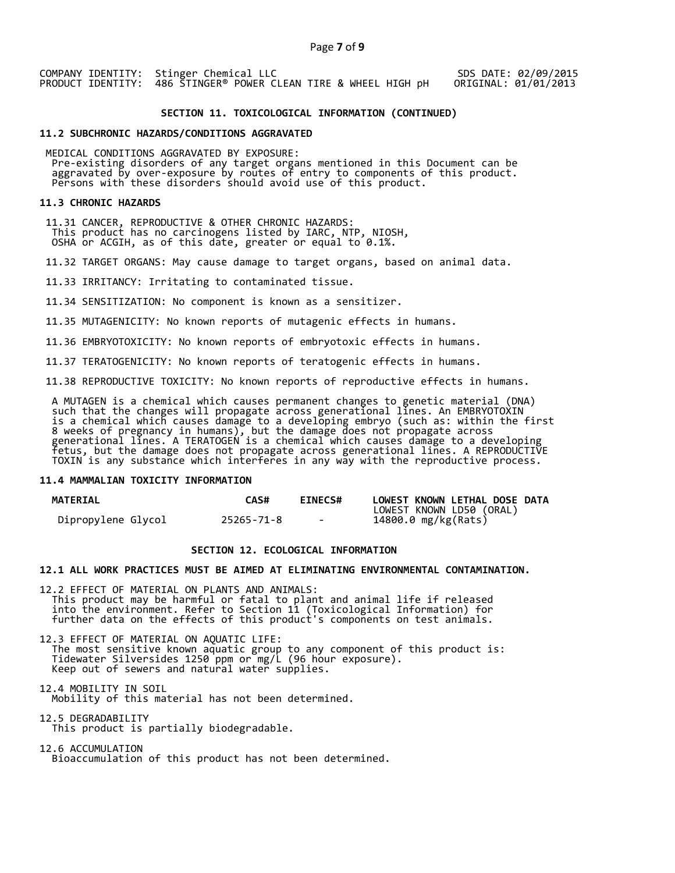COMPANY IDENTITY: Stinger Chemical LLC PRODUCT IDENTITY: 486 STINGER® POWER CLEAN TIRE & WHEEL HIGH pH SDS DATE: 02/09/2015 ORIGINAL: 01/01/2013

## **SECTION 11. TOXICOLOGICAL INFORMATION (CONTINUED)**

#### **11.2 SUBCHRONIC HAZARDS/CONDITIONS AGGRAVATED**

 MEDICAL CONDITIONS AGGRAVATED BY EXPOSURE: Pre-existing disorders of any target organs mentioned in this Document can be aggravated by over-exposure by routes of entry to components of this product. aggravaced by over exposare by roaces of enery to components of persons with these disorders should avoid use of this product.

#### **11.3 CHRONIC HAZARDS**

 11.31 CANCER, REPRODUCTIVE & OTHER CHRONIC HAZARDS: This product has no carcinogens listed by IARC, NTP, NIOSH, OSHA or ACGIH, as of this date, greater or equal to 0.1%.

11.32 TARGET ORGANS: May cause damage to target organs, based on animal data.

11.33 IRRITANCY: Irritating to contaminated tissue.

11.34 SENSITIZATION: No component is known as a sensitizer.

11.35 MUTAGENICITY: No known reports of mutagenic effects in humans.

11.36 EMBRYOTOXICITY: No known reports of embryotoxic effects in humans.

11.37 TERATOGENICITY: No known reports of teratogenic effects in humans.

11.38 REPRODUCTIVE TOXICITY: No known reports of reproductive effects in humans.

 A MUTAGEN is a chemical which causes permanent changes to genetic material (DNA) such that the changes will propagate across generational lines. An EMBRYOTOXIN is a chemical which causes damage to a developing embryo (such as: within the first 8 weeks of pregnancy in humans), but the damage does not propagate across generational lines. A TERATOGEN is a chemical which causes damage to a developing fetus, but the damage does not propagate across generational lines. A REPRODUCTIVE TOXIN is any substance which interferes in any way with the reproductive process.

## **11.4 MAMMALIAN TOXICITY INFORMATION**

| <b>MATERIAL</b>    | <b>CAS#</b> | <b>EINECS#</b> | LOWEST KNOWN LETHAL DOSE DATA |
|--------------------|-------------|----------------|-------------------------------|
|                    |             |                | LOWEST KNOWN LD50 (ORAL)      |
| Dipropylene Glycol | 25265-71-8  | $\sim$         | 14800.0 mg/kg(Rats)           |

## **SECTION 12. ECOLOGICAL INFORMATION**

#### **12.1 ALL WORK PRACTICES MUST BE AIMED AT ELIMINATING ENVIRONMENTAL CONTAMINATION.**

12.2 EFFECT OF MATERIAL ON PLANTS AND ANIMALS: This product may be harmful or fatal to plant and animal life if released into the environment. Refer to Section 11 (Toxicological Information) for further data on the effects of this product's components on test animals.

12.3 EFFECT OF MATERIAL ON AQUATIC LIFE: The most sensitive known aquatic group to any component of this product is: Tidewater Silversides 1250 ppm or mg/L (96 hour exposure). Keep out of sewers and natural water supplies.

12.4 MOBILITY IN SOIL Mobility of this material has not been determined.

12.5 DEGRADABILITY This product is partially biodegradable.

12.6 ACCUMULATION Bioaccumulation of this product has not been determined.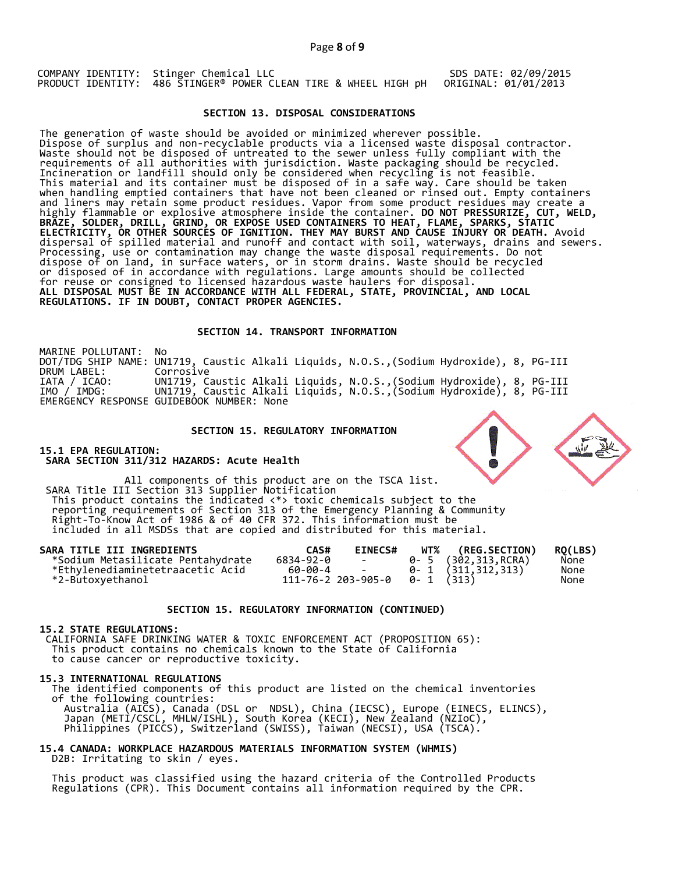COMPANY IDENTITY: Stinger Chemical LLC PRODUCT IDENTITY: 486 STINGER® POWER CLEAN TIRE & WHEEL HIGH pH

## SDS DATE: 02/09/2015 ORIGINAL: 01/01/2013

## **SECTION 13. DISPOSAL CONSIDERATIONS**

The generation of waste should be avoided or minimized wherever possible. Dispose of surplus and non-recyclable products via a licensed waste disposal contractor. Waste should not be disposed of untreated to the sewer unless fully compliant with the requirements of all authorities with jurisdiction. Waste packaging should be recycled. Incineration or landfill should only be considered when recycling is not feasible. This material and its container must be disposed of in a safe way. Care should be taken when handling emptied containers that have not been cleaned or rinsed out. Empty containers and liners may retain some product residues. Vapor from some product residues may create a highly flammable or explosive atmosphere inside the container. **DO NOT PRESSURIZE, CUT, WELD, BRAZE, SOLDER, DRILL, GRIND, OR EXPOSE USED CONTAINERS TO HEAT, FLAME, SPARKS, STATIC ELECTRICITY, OR OTHER SOURCES OF IGNITION. THEY MAY BURST AND CAUSE INJURY OR DEATH.** Avoid dispersal of spilled material and runoff and contact with soil, waterways, drains and sewers. Processing, use or contamination may change the waste disposal requirements. Do not dispose of on land, in surface waters, or in storm drains. Waste should be recycled or disposed of in accordance with regulations. Large amounts should be collected for reuse or consigned to licensed hazardous waste haulers for disposal. **ALL DISPOSAL MUST BE IN ACCORDANCE WITH ALL FEDERAL, STATE, PROVINCIAL, AND LOCAL REGULATIONS. IF IN DOUBT, CONTACT PROPER AGENCIES.** 

#### **SECTION 14. TRANSPORT INFORMATION**

MARINE POLLUTANT: No DOT/TDG SHIP NAME: UN1719, Caustic Alkali Liquids, N.O.S.,(Sodium Hydroxide), 8, PG-III DRUM LABEL: Corrosive IATA / ICAO: IMO / IMDG: UN1719, Caustic Alkali Liquids, N.O.S.,(Sodium Hydroxide), 8, PG-III G-III EMERGENCY RESPONSE GUIDEBOOK NUMBER: None

## **SECTION 15. REGULATORY INFORMATION**

**15.1 EPA REGULATION: SARA SECTION 311/312 HAZARDS: Acute Health** 

All components of this product are on the TSCA list. SARA Title III Section 313 Supplier Notification This product contains the indicated <\*> toxic chemicals subject to the reporting requirements of Section 313 of the Emergency Planning & Community Right-To-Know Act of 1986 & of 40 CFR 372. This information must be included in all MSDSs that are copied and distributed for this material.

| SARA TITLE III INGREDIENTS        | CAS#      | <b>EINECS#</b>                        | WT% (REG.SECTION)         | RO(LBS) |
|-----------------------------------|-----------|---------------------------------------|---------------------------|---------|
| *Sodium Metasilicate Pentahydrate | 6834-92-0 | <b>Contract Contract</b>              | 0- 5 (302,313,RCRA)       | None    |
| *Ethylenediaminetetraacetic Acid  | 60-00-4 - |                                       | $0 - 1$ $(311, 312, 313)$ | None    |
| *2-Butoxyethanol                  |           | $111 - 76 - 2203 - 905 - 0$ 0-1 (313) |                           | None    |

#### **SECTION 15. REGULATORY INFORMATION (CONTINUED)**

#### **15.2 STATE REGULATIONS:**

 CALIFORNIA SAFE DRINKING WATER & TOXIC ENFORCEMENT ACT (PROPOSITION 65): This product contains no chemicals known to the State of California to cause cancer or reproductive toxicity.

#### **15.3 INTERNATIONAL REGULATIONS**

 The identified components of this product are listed on the chemical inventories of the following countries: Australia (AICS), Canada (DSL or NDSL), China (IECSC), Europe (EINECS, ELINCS), Japan (METI/CSCL, MHLW/ISHL), South Korea (KECI), New Zealand (NZIoC), Philippines (PICCS), Switzerland (SWISS), Taiwan (NECSI), USA (TSCA).

# **15.4 CANADA: WORKPLACE HAZARDOUS MATERIALS INFORMATION SYSTEM (WHMIS)**  D2B: Irritating to skin / eyes.

 This product was classified using the hazard criteria of the Controlled Products Regulations (CPR). This Document contains all information required by the CPR.